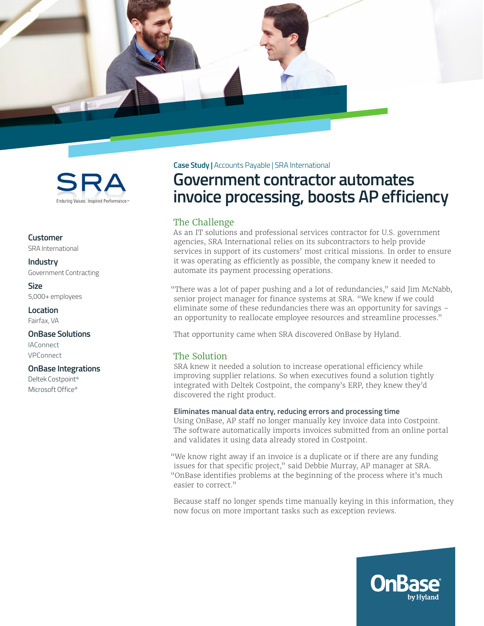



**Customer** SRA International

**Industry** Government Contracting

**Size** 5,000+ employees

**Location** Fairfax, VA

**OnBase Solutions**

**IAConnect** VPConnect

#### **OnBase Integrations**

Deltek Costpoint® Microsoft Office®

**Case Study |** Accounts Payable | SRA International

# **Government contractor automates invoice processing, boosts AP efficiency**

## The Challenge

As an IT solutions and professional services contractor for U.S. government agencies, SRA International relies on its subcontractors to help provide services in support of its customers' most critical missions. In order to ensure it was operating as efficiently as possible, the company knew it needed to automate its payment processing operations.

"There was a lot of paper pushing and a lot of redundancies," said Jim McNabb, senior project manager for finance systems at SRA. "We knew if we could eliminate some of these redundancies there was an opportunity for savings – an opportunity to reallocate employee resources and streamline processes."

That opportunity came when SRA discovered OnBase by Hyland.

# The Solution

SRA knew it needed a solution to increase operational efficiency while improving supplier relations. So when executives found a solution tightly integrated with Deltek Costpoint, the company's ERP, they knew they'd discovered the right product.

### **Eliminates manual data entry, reducing errors and processing time**

Using OnBase, AP staff no longer manually key invoice data into Costpoint. The software automatically imports invoices submitted from an online portal and validates it using data already stored in Costpoint.

"We know right away if an invoice is a duplicate or if there are any funding issues for that specific project," said Debbie Murray, AP manager at SRA. "OnBase identifies problems at the beginning of the process where it's much easier to correct."

Because staff no longer spends time manually keying in this information, they now focus on more important tasks such as exception reviews.